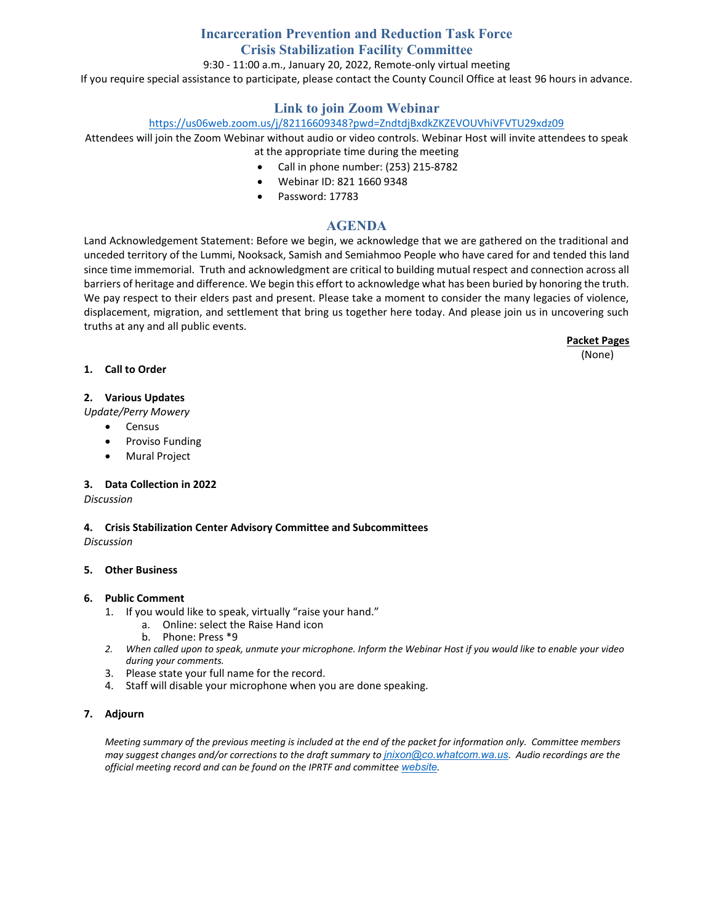## **Incarceration Prevention and Reduction Task Force Crisis Stabilization Facility Committee**

9:30 - 11:00 a.m., January 20, 2022, Remote-only virtual meeting

If you require special assistance to participate, please contact the County Council Office at least 96 hours in advance.

### **Link to join Zoom Webinar**

### <https://us06web.zoom.us/j/82116609348?pwd=ZndtdjBxdkZKZEVOUVhiVFVTU29xdz09>

Attendees will join the Zoom Webinar without audio or video controls. Webinar Host will invite attendees to speak at the appropriate time during the meeting

- Call in phone number: (253) 215-8782
- Webinar ID: 821 1660 9348
- Password: 17783

### **AGENDA**

Land Acknowledgement Statement: Before we begin, we acknowledge that we are gathered on the traditional and unceded territory of the Lummi, Nooksack, Samish and Semiahmoo People who have cared for and tended this land since time immemorial. Truth and acknowledgment are critical to building mutual respect and connection across all barriers of heritage and difference. We begin this effort to acknowledge what has been buried by honoring the truth. We pay respect to their elders past and present. Please take a moment to consider the many legacies of violence, displacement, migration, and settlement that bring us together here today. And please join us in uncovering such truths at any and all public events.

**Packet Pages**

(None)

### **1. Call to Order**

### **2. Various Updates**

*Update/Perry Mowery*

- Census
- Proviso Funding
- Mural Project

### **3. Data Collection in 2022**

### *Discussion*

**4. Crisis Stabilization Center Advisory Committee and Subcommittees** *Discussion*

### **5. Other Business**

### **6. Public Comment**

- 1. If you would like to speak, virtually "raise your hand."
	- a. Online: select the Raise Hand icon
	- b. Phone: Press \*9
- *2. When called upon to speak, unmute your microphone. Inform the Webinar Host if you would like to enable your video during your comments.*
- 3. Please state your full name for the record.
- 4. Staff will disable your microphone when you are done speaking.

### **7. Adjourn**

*Meeting summary of the previous meeting is included at the end of the packet for information only. Committee members may suggest changes and/or corrections to the draft summary to [jnixon@co.whatcom.wa.us](mailto:jnixon@co.whatcom.wa.us). Audio recordings are the official meeting record and can be found on the IPRTF and committee [website](http://www.co.whatcom.wa.us/2052/Incarceration-Prevention-and-Reduction-T).*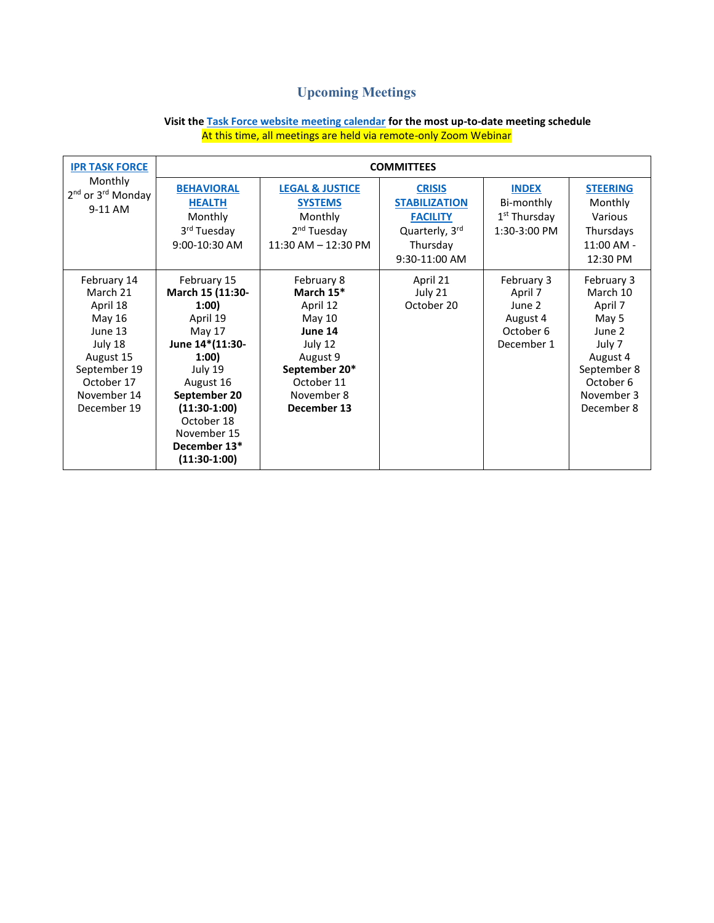# **Upcoming Meetings**

| <b>IPR TASK FORCE</b><br>Monthly<br>2 <sup>nd</sup> or 3 <sup>rd</sup> Monday<br>9-11 AM                                                     | <b>COMMITTEES</b>                                                                                                                                                                                                 |                                                                                                                                             |                                                                                                         |                                                                        |                                                                                                                                    |
|----------------------------------------------------------------------------------------------------------------------------------------------|-------------------------------------------------------------------------------------------------------------------------------------------------------------------------------------------------------------------|---------------------------------------------------------------------------------------------------------------------------------------------|---------------------------------------------------------------------------------------------------------|------------------------------------------------------------------------|------------------------------------------------------------------------------------------------------------------------------------|
|                                                                                                                                              | <b>BEHAVIORAL</b><br><b>HEALTH</b><br>Monthly<br>3 <sup>rd</sup> Tuesday<br>9:00-10:30 AM                                                                                                                         | <b>LEGAL &amp; JUSTICE</b><br><b>SYSTEMS</b><br>Monthly<br>2 <sup>nd</sup> Tuesday<br>$11:30$ AM $- 12:30$ PM                               | <b>CRISIS</b><br><b>STABILIZATION</b><br><b>FACILITY</b><br>Quarterly, 3rd<br>Thursday<br>9:30-11:00 AM | <b>INDEX</b><br>Bi-monthly<br>1 <sup>st</sup> Thursday<br>1:30-3:00 PM | <b>STEERING</b><br>Monthly<br>Various<br>Thursdays<br>$11:00$ AM -<br>12:30 PM                                                     |
| February 14<br>March 21<br>April 18<br>May 16<br>June 13<br>July 18<br>August 15<br>September 19<br>October 17<br>November 14<br>December 19 | February 15<br>March 15 (11:30-<br>1:00<br>April 19<br>May 17<br>June 14*(11:30-<br>1:00<br>July 19<br>August 16<br>September 20<br>$(11:30-1:00)$<br>October 18<br>November 15<br>December 13*<br>$(11:30-1:00)$ | February 8<br>March 15*<br>April 12<br>May 10<br>June 14<br>July 12<br>August 9<br>September 20*<br>October 11<br>November 8<br>December 13 | April 21<br>July 21<br>October 20                                                                       | February 3<br>April 7<br>June 2<br>August 4<br>October 6<br>December 1 | February 3<br>March 10<br>April 7<br>May 5<br>June 2<br>July 7<br>August 4<br>September 8<br>October 6<br>November 3<br>December 8 |

### **Visit th[e Task Force website meeting calendar](https://www.whatcomcounty.us/calendar.aspx?CID=40,) for the most up-to-date meeting schedule** At this time, all meetings are held via remote-only Zoom Webinar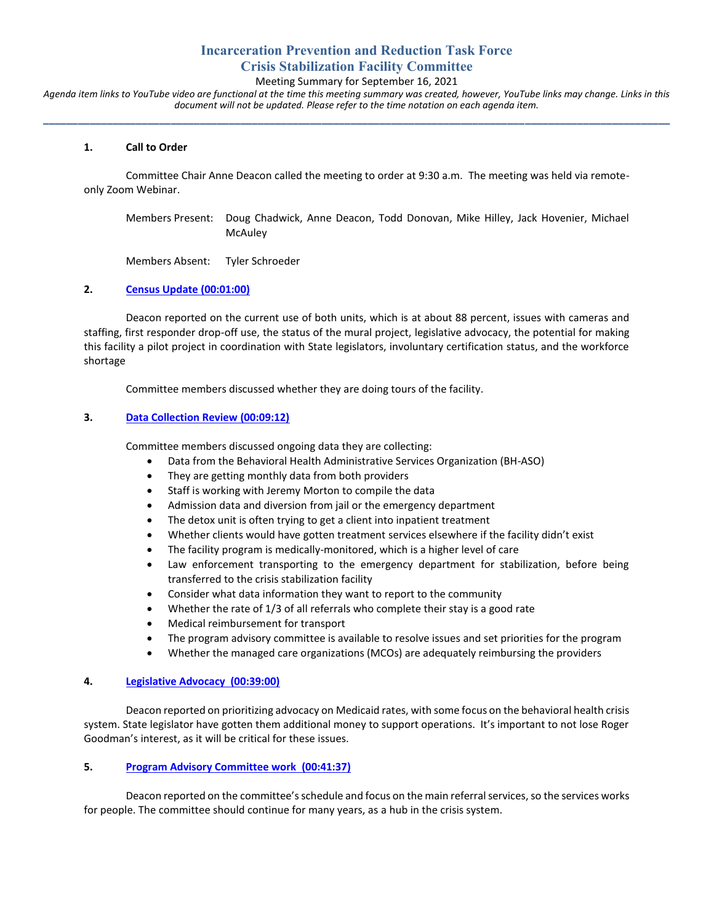# **Incarceration Prevention and Reduction Task Force Crisis Stabilization Facility Committee**

Meeting Summary for September 16, 2021

*Agenda item links to YouTube video are functional at the time this meeting summary was created, however, YouTube links may change. Links in this document will not be updated. Please refer to the time notation on each agenda item.* **\_\_\_\_\_\_\_\_\_\_\_\_\_\_\_\_\_\_\_\_\_\_\_\_\_\_\_\_\_\_\_\_\_\_\_\_\_\_\_\_\_\_\_\_\_\_\_\_\_\_\_\_\_\_\_\_\_\_\_\_\_\_\_\_\_\_\_\_\_\_\_\_\_\_\_\_\_\_\_\_\_\_\_\_\_\_\_\_\_\_\_\_\_\_\_\_\_\_\_\_\_\_\_\_\_\_\_\_**

### **1. Call to Order**

Committee Chair Anne Deacon called the meeting to order at 9:30 a.m. The meeting was held via remoteonly Zoom Webinar.

Members Present: Doug Chadwick, Anne Deacon, Todd Donovan, Mike Hilley, Jack Hovenier, Michael **McAuley** 

Members Absent: Tyler Schroeder

### **2. [Census Update](https://youtu.be/lrWzmmyDpJ8?t=59) (00:01:00)**

Deacon reported on the current use of both units, which is at about 88 percent, issues with cameras and staffing, first responder drop-off use, the status of the mural project, legislative advocacy, the potential for making this facility a pilot project in coordination with State legislators, involuntary certification status, and the workforce shortage

Committee members discussed whether they are doing tours of the facility.

### **3. [Data Collection Review](https://youtu.be/lrWzmmyDpJ8?t=551) (00:09:12)**

Committee members discussed ongoing data they are collecting:

- Data from the Behavioral Health Administrative Services Organization (BH-ASO)
- They are getting monthly data from both providers
- Staff is working with Jeremy Morton to compile the data
- Admission data and diversion from jail or the emergency department
- The detox unit is often trying to get a client into inpatient treatment
- Whether clients would have gotten treatment services elsewhere if the facility didn't exist
- The facility program is medically-monitored, which is a higher level of care
- Law enforcement transporting to the emergency department for stabilization, before being transferred to the crisis stabilization facility
- Consider what data information they want to report to the community
- Whether the rate of 1/3 of all referrals who complete their stay is a good rate
- Medical reimbursement for transport
- The program advisory committee is available to resolve issues and set priorities for the program
- Whether the managed care organizations (MCOs) are adequately reimbursing the providers

### **4. [Legislative Advocacy \(00:39:00\)](https://youtu.be/lrWzmmyDpJ8?t=2339)**

Deacon reported on prioritizing advocacy on Medicaid rates, with some focus on the behavioral health crisis system. State legislator have gotten them additional money to support operations. It's important to not lose Roger Goodman's interest, as it will be critical for these issues.

### **5. [Program Advisory Committee work \(00:41:37\)](https://youtu.be/lrWzmmyDpJ8?t=2497)**

Deacon reported on the committee'sschedule and focus on the main referral services, so the services works for people. The committee should continue for many years, as a hub in the crisis system.